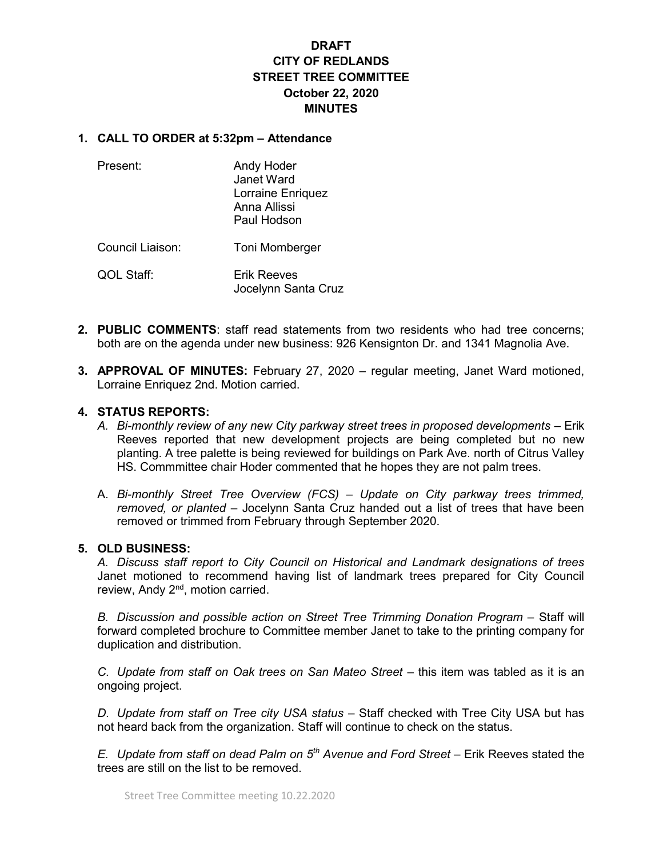# DRAFT CITY OF REDLANDS STREET TREE COMMITTEE October 22, 2020 **MINUTES**

#### 1. CALL TO ORDER at 5:32pm – Attendance

| Present:         | Andy Hoder<br>Janet Ward<br>Lorraine Enriquez<br>Anna Allissi<br>Paul Hodson |
|------------------|------------------------------------------------------------------------------|
| Council Liaison: | Toni Momberger                                                               |
| QOL Staff:       | Erik Reeves<br>Jocelynn Santa Cruz                                           |

- 2. PUBLIC COMMENTS: staff read statements from two residents who had tree concerns; both are on the agenda under new business: 926 Kensignton Dr. and 1341 Magnolia Ave.
- 3. APPROVAL OF MINUTES: February 27, 2020 regular meeting, Janet Ward motioned, Lorraine Enriquez 2nd. Motion carried.

#### 4. STATUS REPORTS:

- A. Bi-monthly review of any new City parkway street trees in proposed developments Erik Reeves reported that new development projects are being completed but no new planting. A tree palette is being reviewed for buildings on Park Ave. north of Citrus Valley HS. Commmittee chair Hoder commented that he hopes they are not palm trees.
- A. Bi-monthly Street Tree Overview (FCS) Update on City parkway trees trimmed, removed, or planted – Jocelynn Santa Cruz handed out a list of trees that have been removed or trimmed from February through September 2020.

#### 5. OLD BUSINESS:

A. Discuss staff report to City Council on Historical and Landmark designations of trees Janet motioned to recommend having list of landmark trees prepared for City Council review, Andy 2<sup>nd</sup>, motion carried.

B. Discussion and possible action on Street Tree Trimming Donation Program – Staff will forward completed brochure to Committee member Janet to take to the printing company for duplication and distribution.

C. Update from staff on Oak trees on San Mateo Street – this item was tabled as it is an ongoing project.

D. Update from staff on Tree city USA status – Staff checked with Tree City USA but has not heard back from the organization. Staff will continue to check on the status.

E. Update from staff on dead Palm on  $5<sup>th</sup>$  Avenue and Ford Street – Erik Reeves stated the trees are still on the list to be removed.